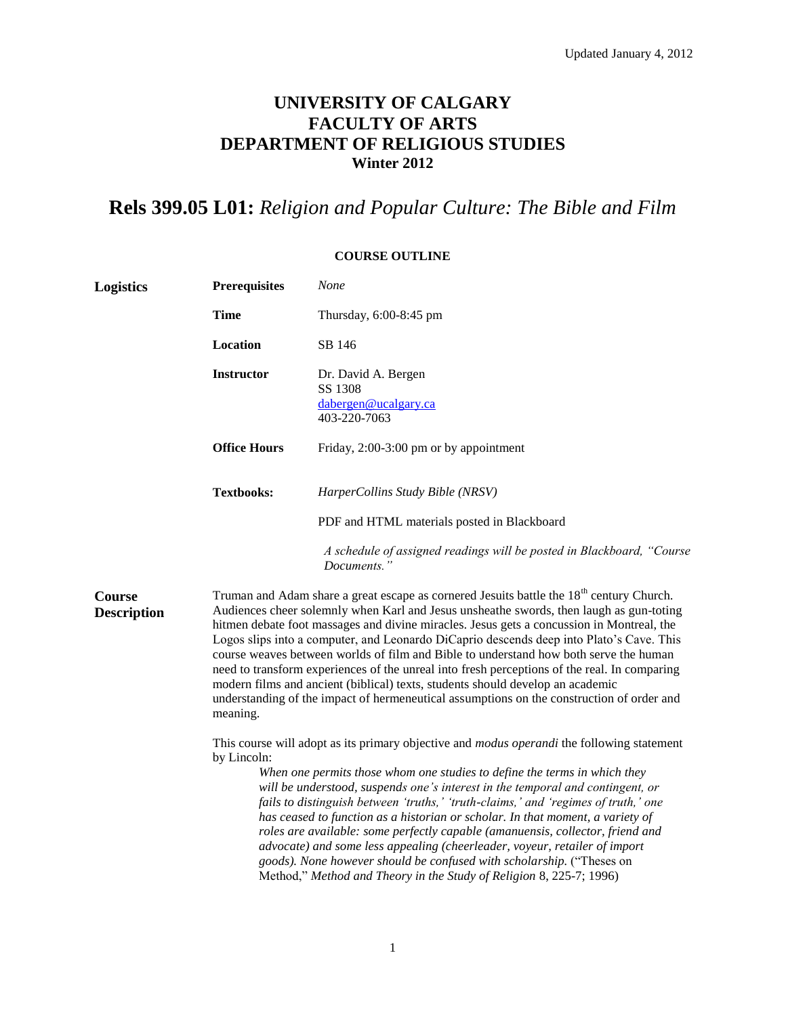## **UNIVERSITY OF CALGARY FACULTY OF ARTS DEPARTMENT OF RELIGIOUS STUDIES Winter 2012**

# **Rels 399.05 L01:** *Religion and Popular Culture: The Bible and Film*

### **COURSE OUTLINE**

| <b>Logistics</b>             | <b>Prerequisites</b>                                                                                                                                                                                                                                                                                                                                                                                                                                                                                                                                                                                                                                                                                                                                                         | <b>None</b>                                                                          |  |  |  |  |  |
|------------------------------|------------------------------------------------------------------------------------------------------------------------------------------------------------------------------------------------------------------------------------------------------------------------------------------------------------------------------------------------------------------------------------------------------------------------------------------------------------------------------------------------------------------------------------------------------------------------------------------------------------------------------------------------------------------------------------------------------------------------------------------------------------------------------|--------------------------------------------------------------------------------------|--|--|--|--|--|
|                              | <b>Time</b>                                                                                                                                                                                                                                                                                                                                                                                                                                                                                                                                                                                                                                                                                                                                                                  | Thursday, 6:00-8:45 pm                                                               |  |  |  |  |  |
|                              | Location                                                                                                                                                                                                                                                                                                                                                                                                                                                                                                                                                                                                                                                                                                                                                                     | SB 146                                                                               |  |  |  |  |  |
|                              | <b>Instructor</b>                                                                                                                                                                                                                                                                                                                                                                                                                                                                                                                                                                                                                                                                                                                                                            | Dr. David A. Bergen<br>SS 1308<br>dabergen@ucalgary.ca<br>403-220-7063               |  |  |  |  |  |
|                              | <b>Office Hours</b>                                                                                                                                                                                                                                                                                                                                                                                                                                                                                                                                                                                                                                                                                                                                                          | Friday, 2:00-3:00 pm or by appointment                                               |  |  |  |  |  |
|                              | <b>Textbooks:</b>                                                                                                                                                                                                                                                                                                                                                                                                                                                                                                                                                                                                                                                                                                                                                            | HarperCollins Study Bible (NRSV)                                                     |  |  |  |  |  |
|                              |                                                                                                                                                                                                                                                                                                                                                                                                                                                                                                                                                                                                                                                                                                                                                                              | PDF and HTML materials posted in Blackboard                                          |  |  |  |  |  |
|                              |                                                                                                                                                                                                                                                                                                                                                                                                                                                                                                                                                                                                                                                                                                                                                                              | A schedule of assigned readings will be posted in Blackboard, "Course<br>Documents." |  |  |  |  |  |
| Course<br><b>Description</b> | Truman and Adam share a great escape as cornered Jesuits battle the 18 <sup>th</sup> century Church.<br>Audiences cheer solemnly when Karl and Jesus unsheathe swords, then laugh as gun-toting<br>hitmen debate foot massages and divine miracles. Jesus gets a concussion in Montreal, the<br>Logos slips into a computer, and Leonardo DiCaprio descends deep into Plato's Cave. This<br>course weaves between worlds of film and Bible to understand how both serve the human<br>need to transform experiences of the unreal into fresh perceptions of the real. In comparing<br>modern films and ancient (biblical) texts, students should develop an academic<br>understanding of the impact of hermeneutical assumptions on the construction of order and<br>meaning. |                                                                                      |  |  |  |  |  |
|                              | This course will adopt as its primary objective and <i>modus operandi</i> the following statement<br>by Lincoln:<br>When one permits those whom one studies to define the terms in which they<br>will be understood, suspends one's interest in the temporal and contingent, or<br>fails to distinguish between 'truths,' 'truth-claims,' and 'regimes of truth,' one<br>has ceased to function as a historian or scholar. In that moment, a variety of<br>roles are available: some perfectly capable (amanuensis, collector, friend and<br>advocate) and some less appealing (cheerleader, voyeur, retailer of import<br>goods). None however should be confused with scholarship. ("Theses on<br>Method," Method and Theory in the Study of Religion 8, 225-7; 1996)      |                                                                                      |  |  |  |  |  |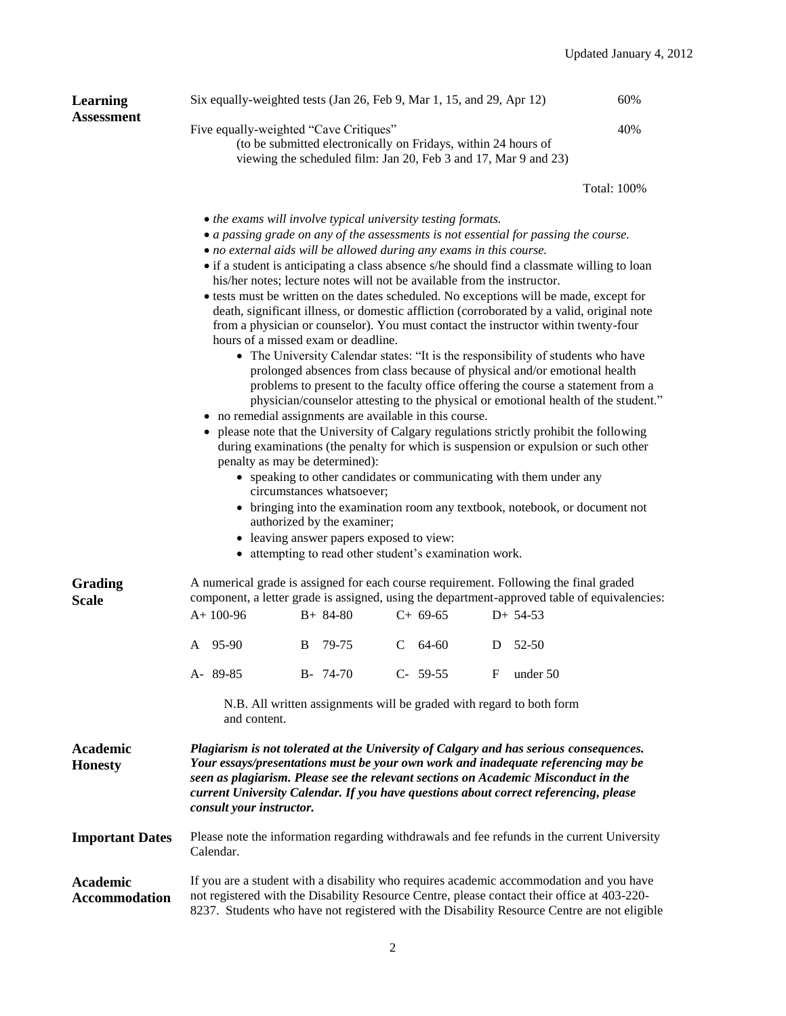| <b>Learning</b><br><b>Assessment</b>    | Six equally-weighted tests (Jan 26, Feb 9, Mar 1, 15, and 29, Apr 12)                                                                                                                                                                                                                                                                                                                 |   |                                                                                                                                                                                                  |   |           |   |                                                                                                                                                                                                                                                                                                                                                                                                                                                                                                                                                                                                                                                                                                                                                                                 | 60%                                                                                                                                                                                                                                                                                                                                                                 |
|-----------------------------------------|---------------------------------------------------------------------------------------------------------------------------------------------------------------------------------------------------------------------------------------------------------------------------------------------------------------------------------------------------------------------------------------|---|--------------------------------------------------------------------------------------------------------------------------------------------------------------------------------------------------|---|-----------|---|---------------------------------------------------------------------------------------------------------------------------------------------------------------------------------------------------------------------------------------------------------------------------------------------------------------------------------------------------------------------------------------------------------------------------------------------------------------------------------------------------------------------------------------------------------------------------------------------------------------------------------------------------------------------------------------------------------------------------------------------------------------------------------|---------------------------------------------------------------------------------------------------------------------------------------------------------------------------------------------------------------------------------------------------------------------------------------------------------------------------------------------------------------------|
|                                         | Five equally-weighted "Cave Critiques"<br>40%<br>(to be submitted electronically on Fridays, within 24 hours of<br>viewing the scheduled film: Jan 20, Feb 3 and 17, Mar 9 and 23)                                                                                                                                                                                                    |   |                                                                                                                                                                                                  |   |           |   |                                                                                                                                                                                                                                                                                                                                                                                                                                                                                                                                                                                                                                                                                                                                                                                 |                                                                                                                                                                                                                                                                                                                                                                     |
|                                         |                                                                                                                                                                                                                                                                                                                                                                                       |   |                                                                                                                                                                                                  |   |           |   |                                                                                                                                                                                                                                                                                                                                                                                                                                                                                                                                                                                                                                                                                                                                                                                 | Total: 100%                                                                                                                                                                                                                                                                                                                                                         |
|                                         | • the exams will involve typical university testing formats.<br>• no external aids will be allowed during any exams in this course.<br>his/her notes; lecture notes will not be available from the instructor.<br>hours of a missed exam or deadline.<br>• no remedial assignments are available in this course.                                                                      |   | penalty as may be determined):<br>circumstances whatsoever;<br>authorized by the examiner;<br>• leaving answer papers exposed to view:<br>• attempting to read other student's examination work. |   |           |   | • a passing grade on any of the assessments is not essential for passing the course.<br>• tests must be written on the dates scheduled. No exceptions will be made, except for<br>from a physician or counselor). You must contact the instructor within twenty-four<br>• The University Calendar states: "It is the responsibility of students who have<br>prolonged absences from class because of physical and/or emotional health<br>• please note that the University of Calgary regulations strictly prohibit the following<br>during examinations (the penalty for which is suspension or expulsion or such other<br>• speaking to other candidates or communicating with them under any<br>• bringing into the examination room any textbook, notebook, or document not | • if a student is anticipating a class absence s/he should find a classmate willing to loan<br>death, significant illness, or domestic affliction (corroborated by a valid, original note<br>problems to present to the faculty office offering the course a statement from a<br>physician/counselor attesting to the physical or emotional health of the student." |
| Grading<br><b>Scale</b>                 | A numerical grade is assigned for each course requirement. Following the final graded<br>component, a letter grade is assigned, using the department-approved table of equivalencies:<br>$A+100-96$<br>$C+ 69-65$<br>$B+ 84-80$<br>$D+ 54-53$                                                                                                                                         |   |                                                                                                                                                                                                  |   |           |   |                                                                                                                                                                                                                                                                                                                                                                                                                                                                                                                                                                                                                                                                                                                                                                                 |                                                                                                                                                                                                                                                                                                                                                                     |
|                                         | A 95-90                                                                                                                                                                                                                                                                                                                                                                               | B | 79-75                                                                                                                                                                                            | C | 64-60     | D | 52-50                                                                                                                                                                                                                                                                                                                                                                                                                                                                                                                                                                                                                                                                                                                                                                           |                                                                                                                                                                                                                                                                                                                                                                     |
|                                         | A-89-85                                                                                                                                                                                                                                                                                                                                                                               |   | $B - 74-70$                                                                                                                                                                                      |   | $C-59-55$ | F | under 50                                                                                                                                                                                                                                                                                                                                                                                                                                                                                                                                                                                                                                                                                                                                                                        |                                                                                                                                                                                                                                                                                                                                                                     |
|                                         | N.B. All written assignments will be graded with regard to both form<br>and content.                                                                                                                                                                                                                                                                                                  |   |                                                                                                                                                                                                  |   |           |   |                                                                                                                                                                                                                                                                                                                                                                                                                                                                                                                                                                                                                                                                                                                                                                                 |                                                                                                                                                                                                                                                                                                                                                                     |
| Academic<br><b>Honesty</b>              | Plagiarism is not tolerated at the University of Calgary and has serious consequences.<br>Your essays/presentations must be your own work and inadequate referencing may be<br>seen as plagiarism. Please see the relevant sections on Academic Misconduct in the<br>current University Calendar. If you have questions about correct referencing, please<br>consult your instructor. |   |                                                                                                                                                                                                  |   |           |   |                                                                                                                                                                                                                                                                                                                                                                                                                                                                                                                                                                                                                                                                                                                                                                                 |                                                                                                                                                                                                                                                                                                                                                                     |
| <b>Important Dates</b>                  | Please note the information regarding withdrawals and fee refunds in the current University<br>Calendar.                                                                                                                                                                                                                                                                              |   |                                                                                                                                                                                                  |   |           |   |                                                                                                                                                                                                                                                                                                                                                                                                                                                                                                                                                                                                                                                                                                                                                                                 |                                                                                                                                                                                                                                                                                                                                                                     |
| <b>Academic</b><br><b>Accommodation</b> | If you are a student with a disability who requires academic accommodation and you have<br>not registered with the Disability Resource Centre, please contact their office at 403-220-<br>8237. Students who have not registered with the Disability Resource Centre are not eligible                                                                                                 |   |                                                                                                                                                                                                  |   |           |   |                                                                                                                                                                                                                                                                                                                                                                                                                                                                                                                                                                                                                                                                                                                                                                                 |                                                                                                                                                                                                                                                                                                                                                                     |